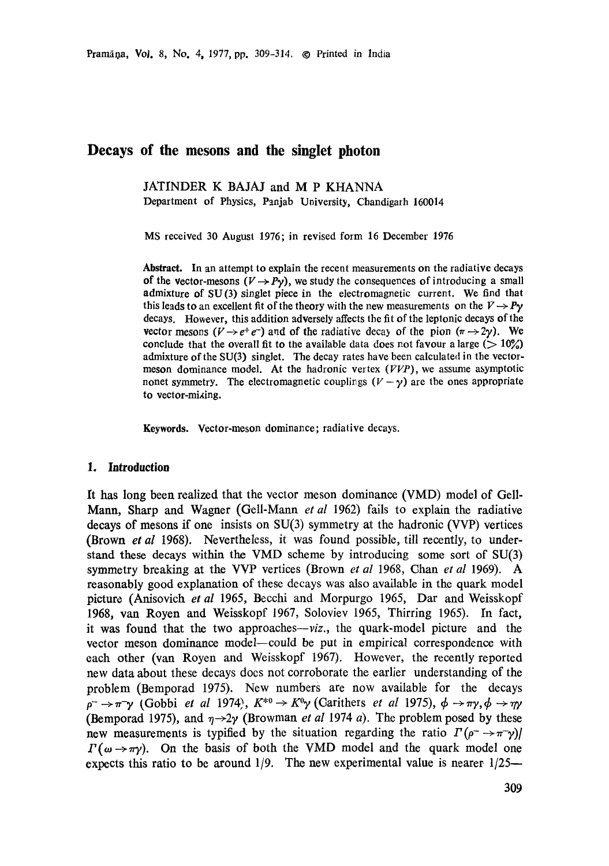# **Decays of the mesons and the singlet photon**

JATINDER K BAJAJ and M P KHANNA Department of Physics, Panjab Uoiversity, Chandigarh 160014

MS received 30 August 1976; in revised form 16 December 1976

**Abstract.** In an attempt to explain the recent measurements on the radiative decays of the vector-mesons  $(V \rightarrow Py)$ , we study the consequences of introducing a small admixture of SU(3) singlet piece in the electromagnetic current. We find that this leads to an excellent fit of the theory with the new measurements on the  $V \rightarrow Py$ decays. However, this addition adversely affects the fit of the leptonic decays of the vector mesons  $(V \rightarrow e^+e^-)$  and of the radiative decay of the pion  $(\pi \rightarrow 2\gamma)$ . We conclude that the overall fit to the available data does not favour a large ( $>10\%$ ) admixture of the SU(3) singlet. The decay rates have been calculated in the vectormeson dominance model. At the hadronic vertex  $(VVP)$ , we assume asymptotic nonet symmetry. The electromagnetic couplings  $(V - \gamma)$  are the ones appropriate to vector-mixing.

**Keywords.** Vector-meson dominance; radiative decays.

#### **1. Introduction**

It has long been realized that the vector meson dominance (VMD) model of Gell-Mann, Sharp and Wagner (Gell-Mann *et al* 1962) fails to explain the radiative decays of mesons if one insists on SU(3) symmetry at the hadronic (VVP) vertices (Brown *et al* 1968). Nevertheless, it was found possible, till recently, to understand these decays within the VMD scheme by introducing some sort of SU(3) symmetry breaking at the VVP vertices (Brown *et al* 1968, Chan *et al* 1969). A reasonably good explanation of these decays was also available in the quark model picture (Anisovich *et al* 1965, Becchi and Morpurgo 1965, Dar and Weisskopf 1968, van Royen and Weisskopf 1967, Soloviev 1965, Thirring 1965). In fact, it was found that the two *approaches--viz.,* the quark-model picture and the vector meson dominance model--could be put in empirical correspondence with each other (van Royen and Weisskopf 1967). However, the recently reported new data about these decays does not corroborate the earlier understanding of the problem (Bemporad 1975). New numbers are now available for the decays  $p^- \rightarrow \pi^- \gamma$  (Gobbi *et al* 1974),  $K^{*0} \rightarrow K^0 \gamma$  (Carithers *et al* 1975),  $\phi \rightarrow \pi \gamma$ ,  $\phi \rightarrow \gamma \gamma$ (Bemporad 1975), and  $\eta \rightarrow 2\gamma$  (Browman *et al* 1974 *a*). The problem posed by these new measurements is typified by the situation regarding the ratio  $\Gamma(\rho^- \to \pi^- \gamma)$  $\Gamma(\omega \rightarrow \pi \gamma)$ . On the basis of both the VMD model and the quark model one expects this ratio to be around  $1/9$ . The new experimental value is nearer  $1/25-$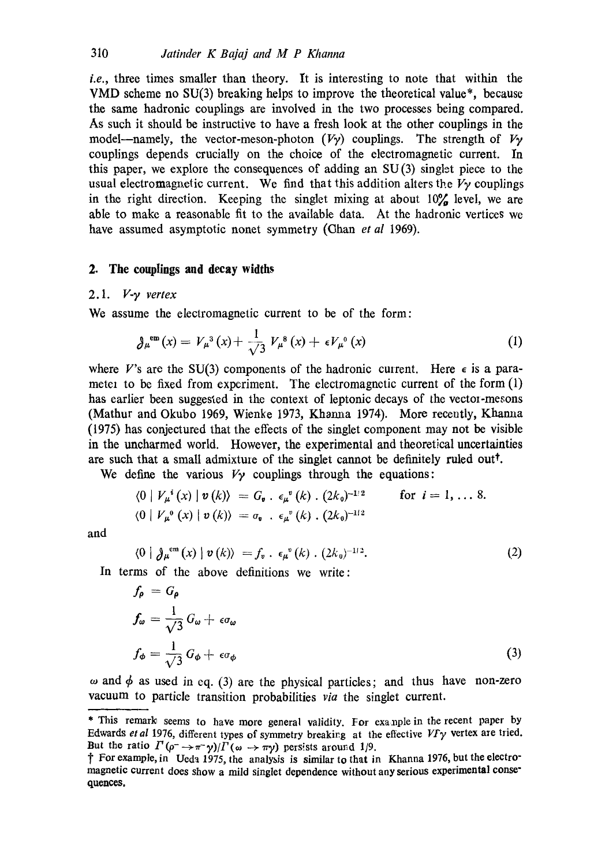*i.e.,* three times smaller than theory. It is interesting to note that within the VMD scheme no SU(3) breaking helps to improve the theoretical value\*, because the same hadronic couplings are involved in the two processes being compared. As such it should be instructive to have a fresh look at the other couplings in the model—namely, the vector-meson-photon  $(V\gamma)$  couplings. The strength of  $V\gamma$ couplings depends crucially on the choice of the electromagnetic current. In this paper, we explore the consequences of adding an SU (3) singlet piece to the usual electromagnetic current. We find that this addition alters the  $V<sub>y</sub>$  couplings in the right direction. Keeping the singlet mixing at about  $10\%$  level, we are able to make a reasonable fit to the available data. At the hadronic vertices we have assumed asymptotic nonet symmetry (Chan *et al* 1969).

# 2. **The couplings and decay** widths

# 2.1. *V-y vertex*

We assume the electromagnetic current to be of the form:

$$
\partial_{\mu}^{\text{em}}(x) = V_{\mu}^{3}(x) + \frac{1}{\sqrt{3}} V_{\mu}^{8}(x) + \epsilon V_{\mu}^{0}(x) \qquad (1)
$$

where V's are the SU(3) components of the hadronic current. Here  $\epsilon$  is a parameter to be fixed from experiment. The electromagnetic current of the form  $(1)$ has earlier been suggested in the context of leptonic decays of the vector-mesons (Mathur and Okubo 1969, Wienke 1973, Khanaa 1974). More recently, Khamia (1975) has conjectured that the effects of the singlet component may not be visible in the uncharmed world. However, the experimental and theoretical uncertainties are such that a small admixture of the singlet cannot be definitely ruled out<sup> $\dagger$ </sup>.

We define the various  $V_{\gamma}$  couplings through the equations:

$$
\langle 0 | V_\mu^i(x) | v(k) \rangle = G_\nu \cdot \epsilon_\mu^v(k) \cdot (2k_0)^{-1/2} \qquad \text{for } i = 1, \ldots 8.
$$
  

$$
\langle 0 | V_\mu^0(x) | v(k) \rangle = \sigma_\nu \cdot \epsilon_\mu^v(k) \cdot (2k_0)^{-1/2}
$$

and

$$
\langle 0 | \partial_{\mu}^{\text{em}}(x) | v(k) \rangle = f_v \cdot \epsilon_{\mu}^{\ \ v}(k) \cdot (2k_0)^{-1/2}.
$$
 (2)

In terms of the above definitions we write:

$$
f_{\rho} = G_{\rho}
$$
  
\n
$$
f_{\omega} = \frac{1}{\sqrt{3}} G_{\omega} + \epsilon \sigma_{\omega}
$$
  
\n
$$
f_{\phi} = \frac{1}{\sqrt{3}} G_{\phi} + \epsilon \sigma_{\phi}
$$
\n(3)

 $\omega$  and  $\phi$  as used in eq. (3) are the physical particles; and thus have non-zero vacuum to particle transition probabilities *via* the singlet current.

<sup>\*</sup> This remark seems to have more general validity. For example in the recent paper by Edwards *et al* 1976, different types of symmetry breaking at the effective  $V F \gamma$  vertex are tried. But the ratio  $\Gamma(\rho \to \pi^- \gamma)/\Gamma(\omega \to \pi \gamma)$  persists around 1/9.

t For example, in Ueda 1975, the analysis is similar to that in Khanna 1976, but the electromagnetic current does show a mild singlet dependence without any serious experimental **conse"**  quences.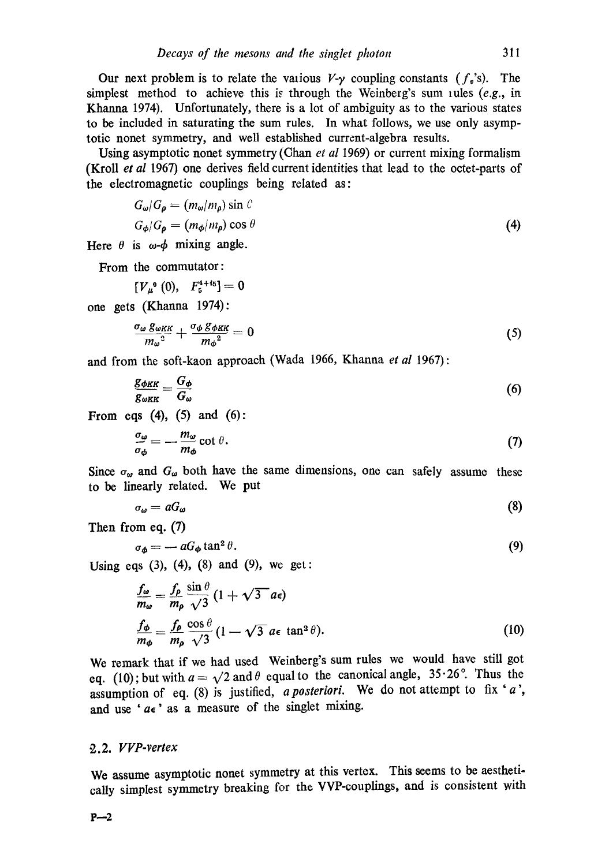Our next problem is to relate the valious  $V-y$  coupling constants  $(f_v)$ . The simplest method to achieve this is through the Weinberg's sum rules (e.g., in Khanna 1974). Unfortunately, there is a lot of ambiguity as to the various states to be included in saturating the sum rules. In what follows, we use only asymptotic nonet symmetry, and well established current-algebra results.

Using asymptotic nonet symmetry (Chan *et al 1969*) or current mixing formalism (Kroll *et al* 1967) one derives field current identities that lead to the octet-parts of the electromagnetic couplings being related as:

$$
G_{\omega}/G_{\rho} = (m_{\omega}/m_{\rho}) \sin \theta
$$
  
\n
$$
G_{\phi}/G_{\rho} = (m_{\phi}/m_{\rho}) \cos \theta
$$
\n(4)

Here  $\theta$  is  $\omega$ - $\phi$  mixing angle.

From the commutator:

$$
[V_{\mu}^{0}(0), F_{5}^{4+45}]=0
$$

one gets (Khanna 1974):

$$
\frac{\sigma_{\omega} g_{\omega K K}}{m_{\omega}^2} + \frac{\sigma_{\phi} g_{\phi K K}}{m_{\phi}^2} = 0
$$
\n(5)

and from the soft-kaon approach (Wada 1966, Khanna *et al* 1967):

$$
\frac{g_{\phi KK}}{g_{\omega_{KK}}} = \frac{G_{\phi}}{G_{\omega}}\tag{6}
$$

From eqs  $(4)$ ,  $(5)$  and  $(6)$ :

$$
\frac{\sigma_{\omega}}{\sigma_{\phi}} = -\frac{m_{\omega}}{m_{\phi}} \cot \theta. \tag{7}
$$

Since  $\sigma_{\omega}$  and  $G_{\omega}$  both have the same dimensions, one can safely assume these to be linearly related. We put

$$
\sigma_{\omega} = aG_{\omega} \tag{8}
$$

Then from eq. (7)

$$
\sigma_{\phi} = -aG_{\phi} \tan^2 \theta. \tag{9}
$$

Using eqs  $(3)$ ,  $(4)$ ,  $(8)$  and  $(9)$ , we get:

$$
\frac{f_{\omega}}{m_{\omega}} = \frac{f_{\rho}}{m_{\rho}} \frac{\sin \theta}{\sqrt{3}} (1 + \sqrt{3} a \epsilon)
$$
  
\n
$$
\frac{f_{\phi}}{m_{\phi}} = \frac{f_{\rho}}{m_{\rho}} \frac{\cos \theta}{\sqrt{3}} (1 - \sqrt{3} a \epsilon \tan^2 \theta).
$$
 (10)

We remark that if we had used Weinberg's sum rules we would have still got eq. (10); but with  $a = \sqrt{2}$  and  $\theta$  equal to the canonical angle, 35.26°. Thus the assumption of eq. (8) is justified, *a posteriori*. We do not attempt to fix 'a', and use ' $a \epsilon$ ' as a measure of the singlet mixing.

### *• 2.2. VVP-vertex*

We assume asymptotic nonet symmetry at this vertex. This seems to be aesthetically simplest symmetry breaking for the VVP-couplings, and is consistent with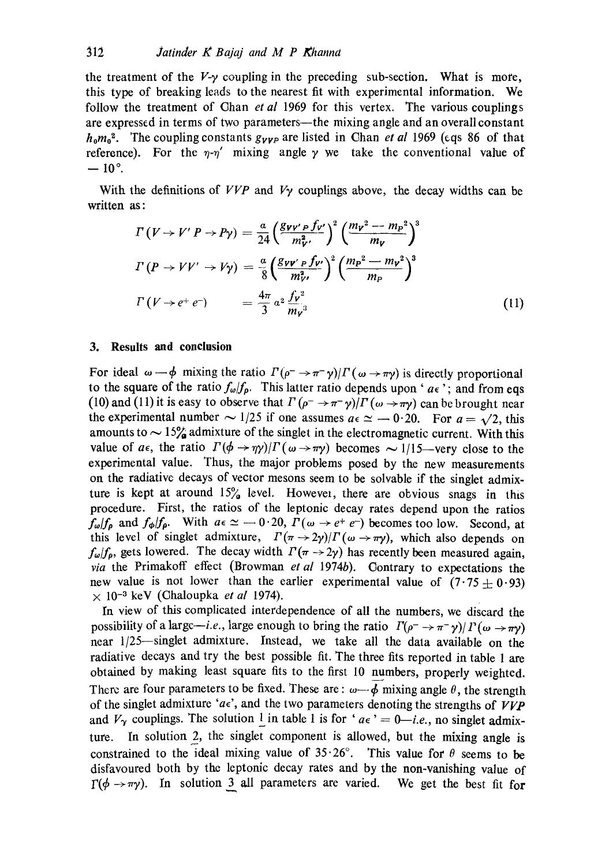the treatment of the  $V_{\gamma}$  coupling in the preceding sub-section. What is more, this type of breaking leads to the nearest fit with experimental information. We follow the treatment of Ghan *et al* 1969 for this vertex. The various couplings are expressed in terms of two parameters--the mixing angle and an overall constant  $h_0 m_0^2$ . The coupling constants  $g_{VVP}$  are listed in Chan *et al* 1969 (eqs 86 of that reference). For the  $\eta$ - $\eta'$  mixing angle  $\gamma$  we take the conventional value of  $-10$ °.

With the definitions of  $VVP$  and  $V<sub>Y</sub>$  couplings above, the decay widths can be written as:

$$
T(V \rightarrow V'P \rightarrow P\gamma) = \frac{a}{24} \left(\frac{g_{\nu \nu'} P f_{\nu'}}{m_{\nu}^2}\right)^2 \left(\frac{m_{\nu}^2 - m_P^2}{m_{\nu}}\right)^3
$$
  

$$
T(P \rightarrow VV' \rightarrow V\gamma) = \frac{a}{8} \left(\frac{g_{\nu \nu'} P f_{\nu'}}{m_{\nu}^2}\right)^2 \left(\frac{m_P^2 - m_{\nu}^2}{m_P}\right)^3
$$
  

$$
T(V \rightarrow e^+ e^-) = \frac{4\pi}{3} a^2 \frac{f_{\nu}^2}{m_{\nu}^3}
$$
 (11)

#### **3. Results and conclusion**

For ideal  $\omega - \phi$  mixing the ratio  $\Gamma(\rho^- \to \pi^- \gamma)/\Gamma(\omega \to \pi \gamma)$  is directly proportional to the square of the ratio  $f_{\omega}/f_{p}$ . This latter ratio depends upon ' $a \epsilon$ '; and from eqs (10) and (11) it is easy to observe that  $\Gamma(\rho \to \pi^-\gamma)/\Gamma(\omega \to \pi\gamma)$  can be brought near the experimental number  $\sim 1/25$  if one assumes  $a \in \simeq -0.20$ . For  $a = \sqrt{2}$ , this amounts to  $\sim 15\%$  admixture of the singlet in the electromagnetic current. With this value of  $a\epsilon$ , the ratio  $\Gamma(\phi \to \eta \gamma)/\Gamma(\omega \to \pi \gamma)$  becomes  $\sim 1/15$ -very close to the experimental value. Thus, the major problems posed by the new measurements on the radiative decays of vector mesons seem to be solvable if the singlet admixture is kept at around  $15\%$  level. However, there are obvious snags in this procedure. First, the ratios of the leptonic decay rates depend upon the ratios  $f_{\omega}/f_{\rho}$  and  $f_{\phi}/f_{\rho}$ . With  $a \in \omega = 0.20$ ,  $\Gamma(\omega \to e^+ e^-)$  becomes too low. Second, at this level of singlet admixture,  $\Gamma(\pi \to 2\gamma)/\Gamma(\omega \to \pi \gamma)$ , which also depends on  $f_{\omega}/f_{\rho}$ , gets lowered. The decay width  $\Gamma(\pi \rightarrow 2\gamma)$  has recently been measured again, *via* the Primakoff effect (Browman *et al* 1974b). Gontrary to expectations the new value is not lower than the earlier experimental value of  $(7.75\pm0.93)$  $\times$  10<sup>-3</sup> keV (Chaloupka *et al* 1974).

In view of this complicated interdependence of all the numbers, we discard the possibility of a large-i.e., large enough to bring the ratio  $\Gamma(\rho^- \to \pi^- \gamma)/\Gamma(\omega \to \pi\gamma)$ near 1/25--singlet admixture. Instead, we take all the data available on the radiative decays and try the best possible fit. The three fits reported in table 1 are obtained by making least square fits to the first I0 numbers, properly weighted. There are four parameters to be fixed. These are :  $\omega \rightarrow \phi$  mixing angle  $\theta$ , the strength of the singlet admixture ' $a\epsilon$ ', and the two parameters denoting the strengths of  $VVP$ and  $V_{\gamma}$  couplings. The solution 1 in table 1 is for '  $a\epsilon$ ' = 0—*i.e.*, no singlet admixture. In solution 2, the singlet component is allowed, but the mixing angle is constrained to the ideal mixing value of  $35.26^{\circ}$ . This value for  $\theta$  seems to be disfavoured both by the leptonic decay rates and by the non-vanishing value of  $\Gamma(\phi \to \pi y)$ . In solution 3 all parameters are varied. We get the best fit for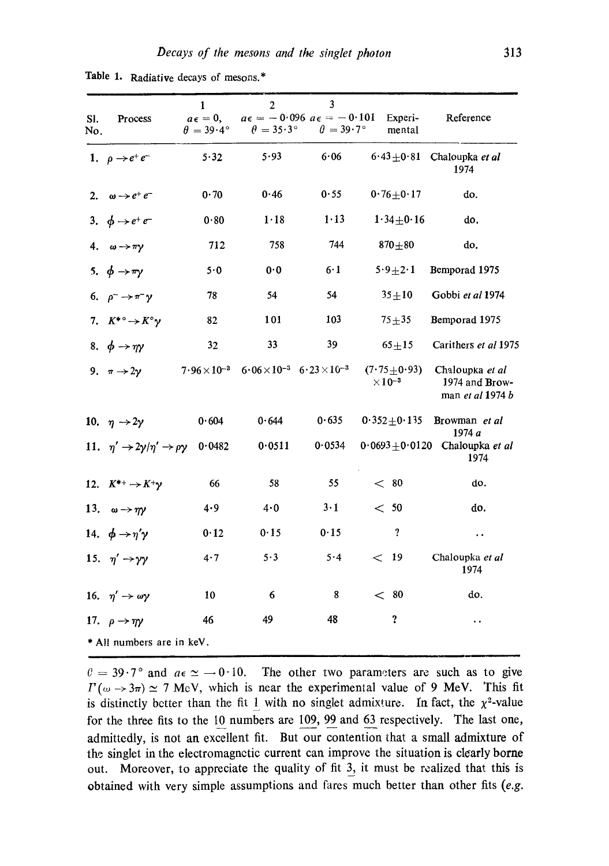| SI.<br>No.                | Process                                                       | $\mathbf{1}$<br>$a\epsilon = 0$ ,<br>$\theta = 39.4^{\circ}$ | $\overline{2}$<br>$a\epsilon = -0.096$ $a\epsilon = -0.101$<br>$\theta = 35.3^{\circ}$ | $\overline{\mathbf{3}}$<br>$\theta = 39.7^{\circ}$ | Experi-<br>mental                              | Reference                                             |
|---------------------------|---------------------------------------------------------------|--------------------------------------------------------------|----------------------------------------------------------------------------------------|----------------------------------------------------|------------------------------------------------|-------------------------------------------------------|
|                           | 1. $\rho \rightarrow e^+e^-$                                  | 5.32                                                         | 5.93                                                                                   | 6.06                                               |                                                | $6.43 \pm 0.81$ Chaloupka et al<br>1974               |
|                           | 2. $\omega \rightarrow e^+e^-$                                | 0.70                                                         | 0.46                                                                                   | 0.55                                               | $0.76 + 0.17$                                  | do.                                                   |
|                           | 3. $\phi \rightarrow e^+e^-$                                  | 0.80                                                         | 1.18                                                                                   | $1 - 13$                                           | $1.34 + 0.16$                                  | do.                                                   |
|                           | 4. $\omega \rightarrow \pi \gamma$                            | 712                                                          | 758                                                                                    | 744                                                | $870 + 80$                                     | do.                                                   |
|                           | 5. $\phi \rightarrow \pi \gamma$                              | 5.0                                                          | 0.0                                                                                    | 6·1                                                | $5.9+2.1$                                      | Bemporad 1975                                         |
|                           | 6. $\rho^- \rightarrow \pi^- \gamma$                          | 78                                                           | 54                                                                                     | 54                                                 | $35 + 10$                                      | Gobbi et al 1974                                      |
|                           | 7. $K^{*\circ} \rightarrow K^{\circ} \gamma$                  | 82                                                           | 101                                                                                    | 103                                                | $75 + 35$                                      | Bemporad 1975                                         |
|                           | 8. $\phi \rightarrow \eta \gamma$                             | 32                                                           | 33                                                                                     | 39                                                 | $65 + 15$                                      | Carithers et al 1975                                  |
|                           | 9. $\pi \rightarrow 2\gamma$                                  |                                                              | $7.96 \times 10^{-3}$ $6.06 \times 10^{-3}$ $6.23 \times 10^{-3}$                      |                                                    | $(7.75 \pm 0.93)$<br>$\times$ 10 <sup>-3</sup> | Chaloupka et al<br>1974 and Brow-<br>man et al 1974 b |
|                           | 10. $\eta \rightarrow 2\gamma$                                | 0.604                                                        | 0.644                                                                                  | 0.635                                              | $0.352 + 0.135$                                | Browman et al                                         |
|                           | 11. $\eta' \rightarrow 2\gamma/\eta' \rightarrow \rho \gamma$ | 0.0482                                                       | 0.0511                                                                                 | 0.0534                                             |                                                | 1974 a<br>$0.0693 \pm 0.0120$ Chaloupka et al<br>1974 |
|                           | 12. $K^{*+} \rightarrow K^{+}\gamma$                          | 66                                                           | 58                                                                                     | 55                                                 | $<$ 80                                         | do.                                                   |
|                           | 13. $\omega \rightarrow \eta \gamma$                          | 4.9                                                          | 4.0                                                                                    | $3 \cdot 1$                                        | < 50                                           | do.                                                   |
|                           | 14. $\phi \rightarrow \eta' \gamma$                           | 0.12                                                         | 0.15                                                                                   | 0.15                                               | $\pmb{?}$                                      | $\ddot{\phantom{1}}$                                  |
|                           | 15. $\eta' \rightarrow \gamma \gamma$                         | 4.7                                                          | 5.3                                                                                    | 5.4                                                | $<$ 19                                         | Chaloupka et al<br>1974                               |
|                           | 16. $\eta' \rightarrow \omega \gamma$                         | 10                                                           | 6                                                                                      | 8                                                  | $<$ 80                                         | do.                                                   |
|                           | 17. $\rho \rightarrow \eta \gamma$                            | 46                                                           | 49                                                                                     | 48                                                 | ?                                              |                                                       |
| * All numbers are in keV. |                                                               |                                                              |                                                                                        |                                                    |                                                |                                                       |

Table 1. Radiative decays of mesons.\*

 $\theta = 39.7$ ° and  $a \in \alpha \ge -0.10$ . The other two parameters are such as to give  $\Gamma(\omega \to 3\pi) \simeq 7$  MeV, which is near the experimental value of 9 MeV. This fit is distinctly better than the fit 1 with no singlet admixture. In fact, the  $\chi^2$ -value for the three fits to the 10 numbers are 109, 99 and 63 respectively. The last one, admittedly, is not an excellent fit. But our contention that a small admixture of the singlet in the electromagnetic current can improve the situation is clearly borne out. Moreover, to appreciate the quality of fit 3, it must be realized that this is obtained with very simple assumptions and fares much better than other fits (e.g.